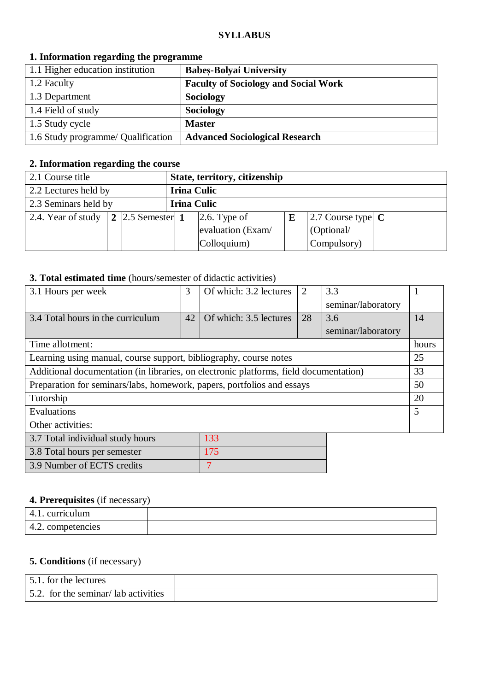#### **SYLLABUS**

| 1, mornished regarding the programme |                                             |  |  |
|--------------------------------------|---------------------------------------------|--|--|
| 1.1 Higher education institution     | <b>Babes-Bolyai University</b>              |  |  |
| 1.2 Faculty                          | <b>Faculty of Sociology and Social Work</b> |  |  |
| 1.3 Department                       | <b>Sociology</b>                            |  |  |
| 1.4 Field of study                   | <b>Sociology</b>                            |  |  |
| 1.5 Study cycle                      | <b>Master</b>                               |  |  |
| 1.6 Study programme/ Qualification   | <b>Advanced Sociological Research</b>       |  |  |

## **1. Information regarding the programme**

### **2. Information regarding the course**

| 2.1 Course title     |                                |                    | State, territory, citizenship |   |                             |  |
|----------------------|--------------------------------|--------------------|-------------------------------|---|-----------------------------|--|
| 2.2 Lectures held by |                                | <b>Irina Culic</b> |                               |   |                             |  |
| 2.3 Seminars held by |                                | <b>Irina Culic</b> |                               |   |                             |  |
| 2.4. Year of study   | $\vert 2 \vert 2.5$ Semester 1 |                    | $\left 2.6. \right.$ Type of  | E | 2.7 Course type $\mathbf C$ |  |
|                      |                                |                    | evaluation (Exam/             |   | (Optional/                  |  |
|                      |                                |                    | Colloquium)                   |   | Compulsory)                 |  |

## **3. Total estimated time** (hours/semester of didactic activities)

| 3.1 Hours per week                                                                    | 3  | Of which: 3.2 lectures | 2  | 3.3                |       |
|---------------------------------------------------------------------------------------|----|------------------------|----|--------------------|-------|
|                                                                                       |    |                        |    | seminar/laboratory |       |
| 3.4 Total hours in the curriculum                                                     | 42 | Of which: 3.5 lectures | 28 | 3.6                | 14    |
|                                                                                       |    |                        |    | seminar/laboratory |       |
| Time allotment:                                                                       |    |                        |    |                    | hours |
| Learning using manual, course support, bibliography, course notes                     |    |                        |    |                    | 25    |
| Additional documentation (in libraries, on electronic platforms, field documentation) |    |                        |    |                    | 33    |
| Preparation for seminars/labs, homework, papers, portfolios and essays                |    |                        |    |                    | 50    |
| Tutorship                                                                             |    |                        |    |                    | 20    |
| Evaluations                                                                           |    |                        |    |                    | 5     |
| Other activities:                                                                     |    |                        |    |                    |       |
| 3.7 Total individual study hours                                                      |    | 133                    |    |                    |       |
| 3.8 Total hours per semester                                                          |    | 175                    |    |                    |       |
| 3.9 Number of ECTS credits                                                            |    | 7                      |    |                    |       |

# **4. Prerequisites** (if necessary)

| riculum<br>᠇.                   |  |
|---------------------------------|--|
| competencies<br>$\sim$<br>– ⊷∠. |  |

## **5. Conditions** (if necessary)

| 5.1. for the lectures               |  |
|-------------------------------------|--|
| 5.2. for the seminar/lab activities |  |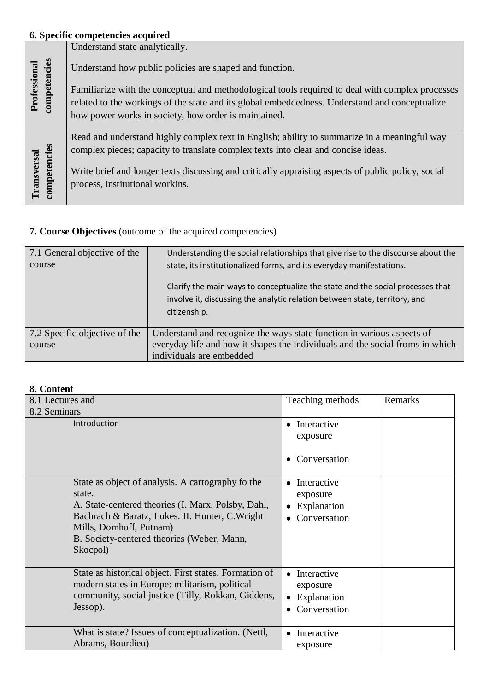# **6. Specific competencies acquired**

|                              |              | Understand state analytically.                                                                     |
|------------------------------|--------------|----------------------------------------------------------------------------------------------------|
| Professional<br>competencies |              | Understand how public policies are shaped and function.                                            |
|                              |              | Familiarize with the conceptual and methodological tools required to deal with complex processes   |
|                              |              | related to the workings of the state and its global embeddedness. Understand and conceptualize     |
|                              |              | how power works in society, how order is maintained.                                               |
|                              |              |                                                                                                    |
|                              |              | Read and understand highly complex text in English; ability to summarize in a meaningful way       |
|                              |              | complex pieces; capacity to translate complex texts into clear and concise ideas.                  |
| Transversal                  | competencies | Write brief and longer texts discussing and critically appraising aspects of public policy, social |
|                              |              | process, institutional workins.                                                                    |
|                              |              |                                                                                                    |

# **7. Course Objectives** (outcome of the acquired competencies)

| 7.1 General objective of the<br>course  | Understanding the social relationships that give rise to the discourse about the<br>state, its institutionalized forms, and its everyday manifestations.<br>Clarify the main ways to conceptualize the state and the social processes that<br>involve it, discussing the analytic relation between state, territory, and<br>citizenship. |
|-----------------------------------------|------------------------------------------------------------------------------------------------------------------------------------------------------------------------------------------------------------------------------------------------------------------------------------------------------------------------------------------|
|                                         |                                                                                                                                                                                                                                                                                                                                          |
| 7.2 Specific objective of the<br>course | Understand and recognize the ways state function in various aspects of<br>everyday life and how it shapes the individuals and the social froms in which<br>individuals are embedded                                                                                                                                                      |

# **8. Content**

| o. Content                                             |                           |         |
|--------------------------------------------------------|---------------------------|---------|
| 8.1 Lectures and                                       | Teaching methods          | Remarks |
| 8.2 Seminars                                           |                           |         |
| Introduction                                           | Interactive<br>$\bullet$  |         |
|                                                        | exposure                  |         |
|                                                        |                           |         |
|                                                        | Conversation<br>$\bullet$ |         |
|                                                        |                           |         |
| State as object of analysis. A cartography fo the      | • Interactive             |         |
| state.                                                 | exposure                  |         |
| A. State-centered theories (I. Marx, Polsby, Dahl,     | Explanation               |         |
| Bachrach & Baratz, Lukes. II. Hunter, C. Wright        | Conversation              |         |
| Mills, Domhoff, Putnam)                                |                           |         |
| B. Society-centered theories (Weber, Mann,             |                           |         |
| Skocpol)                                               |                           |         |
| State as historical object. First states. Formation of | Interactive               |         |
| modern states in Europe: militarism, political         | exposure                  |         |
| community, social justice (Tilly, Rokkan, Giddens,     | Explanation               |         |
| Jessop).                                               | Conversation<br>$\bullet$ |         |
|                                                        |                           |         |
| What is state? Issues of conceptualization. (Nettl,    | Interactive<br>$\bullet$  |         |
| Abrams, Bourdieu)                                      | exposure                  |         |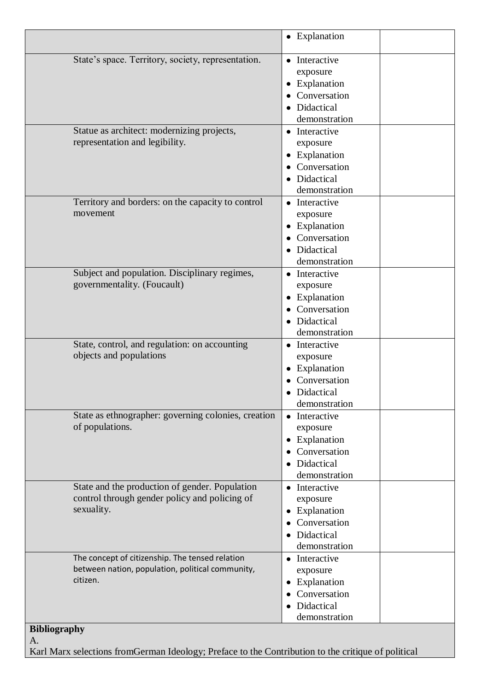|                                                                                                                 | • Explanation                                                                                 |
|-----------------------------------------------------------------------------------------------------------------|-----------------------------------------------------------------------------------------------|
| State's space. Territory, society, representation.                                                              | • Interactive<br>exposure<br>• Explanation<br>• Conversation<br>• Didactical<br>demonstration |
| Statue as architect: modernizing projects,<br>representation and legibility.                                    | • Interactive<br>exposure<br>• Explanation<br>Conversation<br>• Didactical<br>demonstration   |
| Territory and borders: on the capacity to control<br>movement                                                   | • Interactive<br>exposure<br>• Explanation<br>• Conversation<br>• Didactical<br>demonstration |
| Subject and population. Disciplinary regimes,<br>governmentality. (Foucault)                                    | • Interactive<br>exposure<br>• Explanation<br>• Conversation<br>· Didactical<br>demonstration |
| State, control, and regulation: on accounting<br>objects and populations                                        | • Interactive<br>exposure<br>• Explanation<br>Conversation<br>• Didactical<br>demonstration   |
| State as ethnographer: governing colonies, creation<br>of populations.                                          | • Interactive<br>exposure<br>• Explanation<br>• Conversation<br>• Didactical<br>demonstration |
| State and the production of gender. Population<br>control through gender policy and policing of<br>sexuality.   | • Interactive<br>exposure<br>• Explanation<br>Conversation<br>• Didactical<br>demonstration   |
| The concept of citizenship. The tensed relation<br>between nation, population, political community,<br>citizen. | • Interactive<br>exposure<br>• Explanation<br>• Conversation<br>• Didactical<br>demonstration |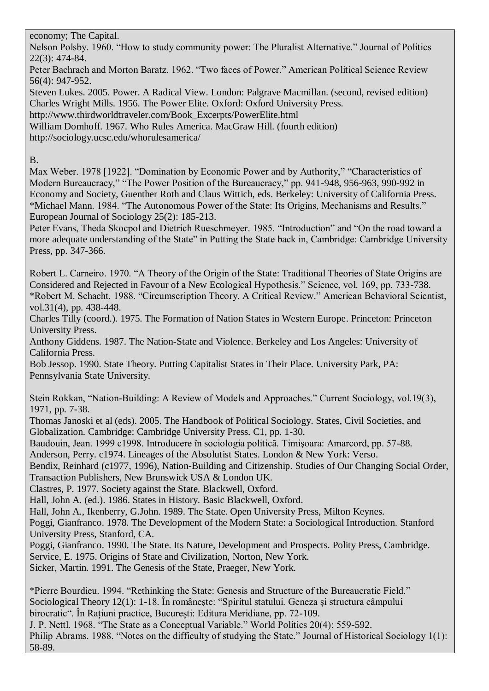### economy; The Capital.

Nelson Polsby. 1960. "How to study community power: The Pluralist Alternative." Journal of Politics 22(3): 474-84.

Peter Bachrach and Morton Baratz. 1962. "Two faces of Power." American Political Science Review 56(4): 947-952.

Steven Lukes. 2005. Power. A Radical View. London: Palgrave Macmillan. (second, revised edition) Charles Wright Mills. 1956. The Power Elite. Oxford: Oxford University Press.

http://www.thirdworldtraveler.com/Book\_Excerpts/PowerElite.html

William Domhoff. 1967. Who Rules America. MacGraw Hill. (fourth edition)

http://sociology.ucsc.edu/whorulesamerica/

# B.

Max Weber. 1978 [1922]. "Domination by Economic Power and by Authority," "Characteristics of Modern Bureaucracy," "The Power Position of the Bureaucracy," pp. 941-948, 956-963, 990-992 in Economy and Society, Guenther Roth and Claus Wittich, eds. Berkeley: University of California Press. \*Michael Mann. 1984. "The Autonomous Power of the State: Its Origins, Mechanisms and Results." European Journal of Sociology 25(2): 185-213.

Peter Evans, Theda Skocpol and Dietrich Rueschmeyer. 1985. "Introduction" and "On the road toward a more adequate understanding of the State" in Putting the State back in, Cambridge: Cambridge University Press, pp. 347-366.

Robert L. Carneiro. 1970. "A Theory of the Origin of the State: Traditional Theories of State Origins are Considered and Rejected in Favour of a New Ecological Hypothesis." Science, vol. 169, pp. 733-738. \*Robert M. Schacht. 1988. "Circumscription Theory. A Critical Review." American Behavioral Scientist, vol.31(4), pp. 438-448.

Charles Tilly (coord.). 1975. The Formation of Nation States in Western Europe. Princeton: Princeton University Press.

Anthony Giddens. 1987. The Nation-State and Violence. Berkeley and Los Angeles: University of California Press.

Bob Jessop. 1990. State Theory. Putting Capitalist States in Their Place. University Park, PA: Pennsylvania State University.

Stein Rokkan, "Nation-Building: A Review of Models and Approaches." Current Sociology, vol.19(3), 1971, pp. 7-38.

Thomas Janoski et al (eds). 2005. The Handbook of Political Sociology. States, Civil Societies, and Globalization. Cambridge: Cambridge University Press. C1, pp. 1-30.

Baudouin, Jean. 1999 c1998. Introducere în sociologia politică. Timişoara: Amarcord, pp. 57-88.

Anderson, Perry. c1974. Lineages of the Absolutist States. London & New York: Verso.

Bendix, Reinhard (c1977, 1996), Nation-Building and Citizenship. Studies of Our Changing Social Order, Transaction Publishers, New Brunswick USA & London UK.

Clastres, P. 1977. Society against the State. Blackwell, Oxford.

Hall, John A. (ed.). 1986. States in History. Basic Blackwell, Oxford.

Hall, John A., Ikenberry, G.John. 1989. The State. Open University Press, Milton Keynes.

Poggi, Gianfranco. 1978. The Development of the Modern State: a Sociological Introduction. Stanford University Press, Stanford, CA.

Poggi, Gianfranco. 1990. The State. Its Nature, Development and Prospects. Polity Press, Cambridge. Service, E. 1975. Origins of State and Civilization, Norton, New York.

Sicker, Martin. 1991. The Genesis of the State, Praeger, New York.

\*Pierre Bourdieu. 1994. "Rethinking the State: Genesis and Structure of the Bureaucratic Field." Sociological Theory 12(1): 1-18. În românește: "Spiritul statului. Geneza și structura câmpului birocratic". În Rațiuni practice, București: Editura Meridiane, pp. 72-109.

J. P. Nettl. 1968. "The State as a Conceptual Variable." World Politics 20(4): 559-592. Philip Abrams. 1988. "Notes on the difficulty of studying the State." Journal of Historical Sociology 1(1): 58-89.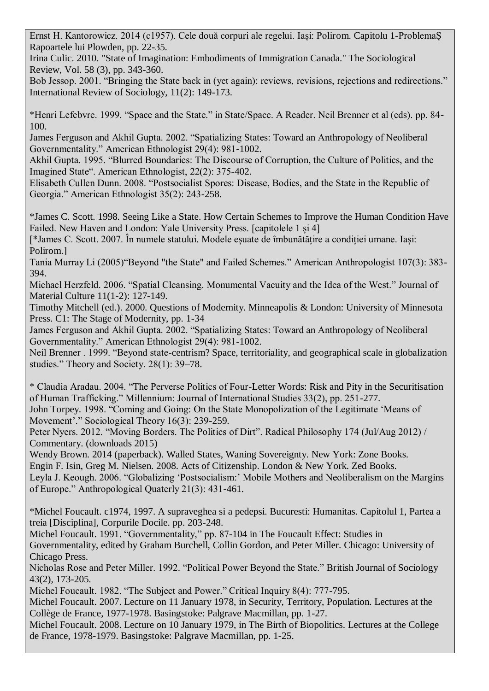Ernst H. Kantorowicz. 2014 (c1957). Cele două corpuri ale regelui. Iași: Polirom. Capitolu 1-ProblemaȘ Rapoartele lui Plowden, pp. 22-35.

Irina Culic. 2010. "State of Imagination: Embodiments of Immigration Canada." The Sociological Review, Vol. 58 (3), pp. 343-360.

Bob Jessop. 2001. "Bringing the State back in (yet again): reviews, revisions, rejections and redirections." International Review of Sociology, 11(2): 149-173.

\*Henri Lefebvre. 1999. "Space and the State." in State/Space. A Reader. Neil Brenner et al (eds). pp. 84- 100.

James Ferguson and Akhil Gupta. 2002. "Spatializing States: Toward an Anthropology of Neoliberal Governmentality." American Ethnologist 29(4): 981-1002.

Akhil Gupta. 1995. "Blurred Boundaries: The Discourse of Corruption, the Culture of Politics, and the Imagined State". American Ethnologist, 22(2): 375-402.

Elisabeth Cullen Dunn. 2008. "Postsocialist Spores: Disease, Bodies, and the State in the Republic of Georgia." American Ethnologist 35(2): 243-258.

\*James C. Scott. 1998. Seeing Like a State. How Certain Schemes to Improve the Human Condition Have Failed. New Haven and London: Yale University Press. [capitolele 1 și 4]

[\*James C. Scott. 2007. În numele statului. Modele eșuate de îmbunătățire a condiției umane. Iași: Polirom.]

Tania Murray Li (2005)"Beyond "the State" and Failed Schemes." American Anthropologist 107(3): 383- 394.

Michael Herzfeld. 2006. "Spatial Cleansing. Monumental Vacuity and the Idea of the West." Journal of Material Culture 11(1-2): 127-149.

Timothy Mitchell (ed.). 2000. Questions of Modernity. Minneapolis & London: University of Minnesota Press. C1: The Stage of Modernity, pp. 1-34

James Ferguson and Akhil Gupta. 2002. "Spatializing States: Toward an Anthropology of Neoliberal Governmentality." American Ethnologist 29(4): 981-1002.

Neil Brenner . 1999. "Beyond state-centrism? Space, territoriality, and geographical scale in globalization studies." Theory and Society. 28(1): 39–78.

\* Claudia Aradau. 2004. "The Perverse Politics of Four-Letter Words: Risk and Pity in the Securitisation of Human Trafficking." Millennium: Journal of International Studies 33(2), pp. 251-277.

John Torpey. 1998. "Coming and Going: On the State Monopolization of the Legitimate 'Means of Movement'." Sociological Theory 16(3): 239-259.

Peter Nyers. 2012. "Moving Borders. The Politics of Dirt". Radical Philosophy 174 (Jul/Aug 2012) / Commentary. (downloads 2015)

Wendy Brown. 2014 (paperback). Walled States, Waning Sovereignty. New York: Zone Books. Engin F. Isin, Greg M. Nielsen. 2008. Acts of Citizenship. London & New York. Zed Books. Leyla J. Keough. 2006. "Globalizing 'Postsocialism:' Mobile Mothers and Neoliberalism on the Margins of Europe." Anthropological Quaterly 21(3): 431-461.

\*Michel Foucault. c1974, 1997. A supraveghea si a pedepsi. Bucuresti: Humanitas. Capitolul 1, Partea a treia [Disciplina], Corpurile Docile. pp. 203-248.

Michel Foucault. 1991. "Governmentality," pp. 87-104 in The Foucault Effect: Studies in Governmentality, edited by Graham Burchell, Collin Gordon, and Peter Miller. Chicago: University of Chicago Press.

Nicholas Rose and Peter Miller. 1992. "Political Power Beyond the State." British Journal of Sociology 43(2), 173-205.

Michel Foucault. 1982. "The Subject and Power." Critical Inquiry 8(4): 777-795.

Michel Foucault. 2007. Lecture on 11 January 1978, in Security, Territory, Population. Lectures at the Collège de France, 1977-1978. Basingstoke: Palgrave Macmillan, pp. 1-27.

Michel Foucault. 2008. Lecture on 10 January 1979, in The Birth of Biopolitics. Lectures at the College de France, 1978-1979. Basingstoke: Palgrave Macmillan, pp. 1-25.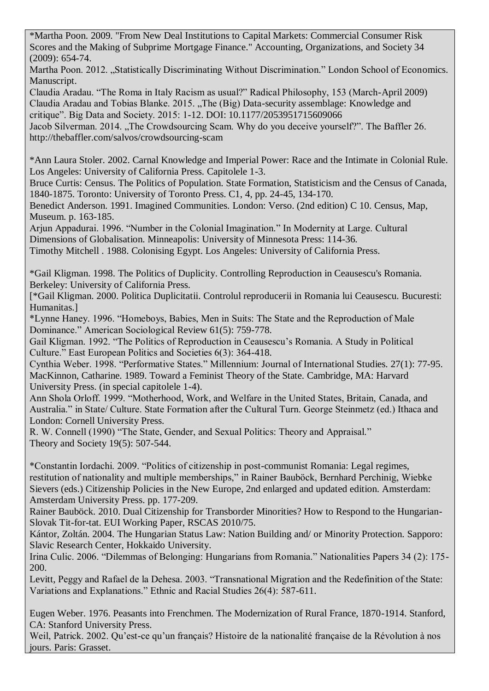\*Martha Poon. 2009. "From New Deal Institutions to Capital Markets: Commercial Consumer Risk Scores and the Making of Subprime Mortgage Finance." Accounting, Organizations, and Society 34 (2009): 654-74.

Martha Poon. 2012. "Statistically Discriminating Without Discrimination." London School of Economics. Manuscript.

Claudia Aradau. "The Roma in Italy Racism as usual?" Radical Philosophy, 153 (March-April 2009) Claudia Aradau and Tobias Blanke. 2015. "The (Big) Data-security assemblage: Knowledge and critique". Big Data and Society. 2015: 1-12. DOI: 10.1177/2053951715609066

Jacob Silverman. 2014. "The Crowdsourcing Scam. Why do you deceive yourself?". The Baffler 26. http://thebaffler.com/salvos/crowdsourcing-scam

\*Ann Laura Stoler. 2002. Carnal Knowledge and Imperial Power: Race and the Intimate in Colonial Rule. Los Angeles: University of California Press. Capitolele 1-3.

Bruce Curtis: Census. The Politics of Population. State Formation, Statisticism and the Census of Canada, 1840-1875. Toronto: University of Toronto Press. C1, 4, pp. 24-45, 134-170.

Benedict Anderson. 1991. Imagined Communities. London: Verso. (2nd edition) C 10. Census, Map, Museum. p. 163-185.

Arjun Appadurai. 1996. "Number in the Colonial Imagination." In Modernity at Large. Cultural Dimensions of Globalisation. Minneapolis: University of Minnesota Press: 114-36.

Timothy Mitchell . 1988. Colonising Egypt. Los Angeles: University of California Press.

\*Gail Kligman. 1998. The Politics of Duplicity. Controlling Reproduction in Ceausescu's Romania. Berkeley: University of California Press.

[\*Gail Kligman. 2000. Politica Duplicitatii. Controlul reproducerii in Romania lui Ceausescu. Bucuresti: Humanitas.]

\*Lynne Haney. 1996. "Homeboys, Babies, Men in Suits: The State and the Reproduction of Male Dominance." American Sociological Review 61(5): 759-778.

Gail Kligman. 1992. "The Politics of Reproduction in Ceausescu's Romania. A Study in Political Culture." East European Politics and Societies 6(3): 364-418.

Cynthia Weber. 1998. "Performative States." Millennium: Journal of International Studies. 27(1): 77-95. MacKinnon, Catharine. 1989. Toward a Feminist Theory of the State. Cambridge, MA: Harvard University Press. (in special capitolele 1-4).

Ann Shola Orloff. 1999. "Motherhood, Work, and Welfare in the United States, Britain, Canada, and Australia." in State/ Culture. State Formation after the Cultural Turn. George Steinmetz (ed.) Ithaca and London: Cornell University Press.

R. W. Connell (1990) "The State, Gender, and Sexual Politics: Theory and Appraisal." Theory and Society 19(5): 507-544.

\*Constantin Iordachi. 2009. "Politics of citizenship in post-communist Romania: Legal regimes, restitution of nationality and multiple memberships," in Rainer Bauböck, Bernhard Perchinig, Wiebke Sievers (eds.) Citizenship Policies in the New Europe, 2nd enlarged and updated edition. Amsterdam: Amsterdam University Press. pp. 177-209.

Rainer Bauböck. 2010. Dual Citizenship for Transborder Minorities? How to Respond to the Hungarian-Slovak Tit-for-tat. EUI Working Paper, RSCAS 2010/75.

Kántor, Zoltán. 2004. The Hungarian Status Law: Nation Building and/ or Minority Protection. Sapporo: Slavic Research Center, Hokkaido University.

Irina Culic. 2006. "Dilemmas of Belonging: Hungarians from Romania." Nationalities Papers 34 (2): 175- 200.

Levitt, Peggy and Rafael de la Dehesa. 2003. "Transnational Migration and the Redefinition of the State: Variations and Explanations." Ethnic and Racial Studies 26(4): 587-611.

Eugen Weber. 1976. Peasants into Frenchmen. The Modernization of Rural France, 1870-1914. Stanford, CA: Stanford University Press.

Weil, Patrick. 2002. Qu'est-ce qu'un français? Histoire de la nationalité française de la Révolution à nos jours. Paris: Grasset.